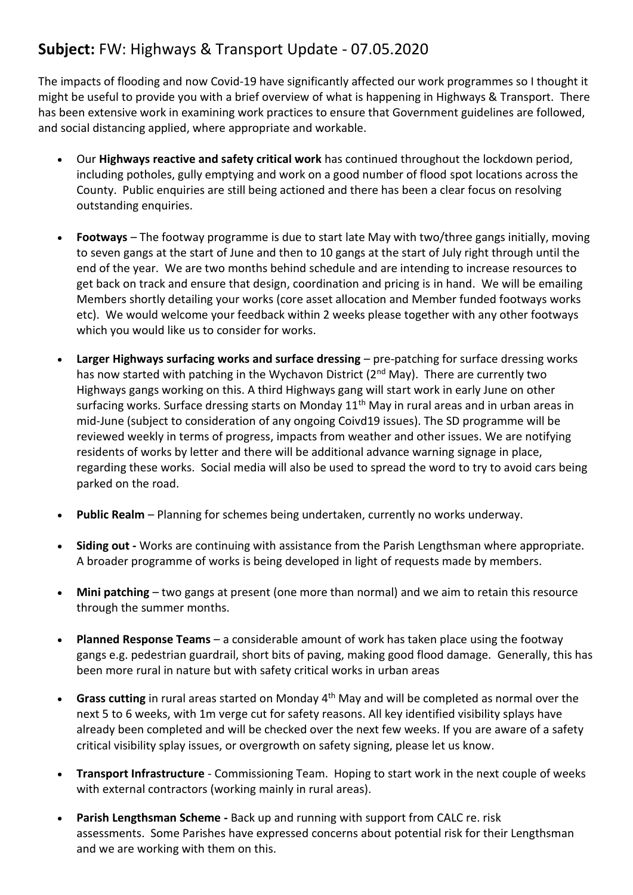## **Subject:** FW: Highways & Transport Update - 07.05.2020

The impacts of flooding and now Covid-19 have significantly affected our work programmes so I thought it might be useful to provide you with a brief overview of what is happening in Highways & Transport. There has been extensive work in examining work practices to ensure that Government guidelines are followed, and social distancing applied, where appropriate and workable.

- Our **Highways reactive and safety critical work** has continued throughout the lockdown period, including potholes, gully emptying and work on a good number of flood spot locations across the County. Public enquiries are still being actioned and there has been a clear focus on resolving outstanding enquiries.
- **Footways** The footway programme is due to start late May with two/three gangs initially, moving to seven gangs at the start of June and then to 10 gangs at the start of July right through until the end of the year. We are two months behind schedule and are intending to increase resources to get back on track and ensure that design, coordination and pricing is in hand. We will be emailing Members shortly detailing your works (core asset allocation and Member funded footways works etc). We would welcome your feedback within 2 weeks please together with any other footways which you would like us to consider for works.
- **Larger Highways surfacing works and surface dressing** pre-patching for surface dressing works has now started with patching in the Wychavon District (2<sup>nd</sup> May). There are currently two Highways gangs working on this. A third Highways gang will start work in early June on other surfacing works. Surface dressing starts on Monday 11<sup>th</sup> May in rural areas and in urban areas in mid-June (subject to consideration of any ongoing Coivd19 issues). The SD programme will be reviewed weekly in terms of progress, impacts from weather and other issues. We are notifying residents of works by letter and there will be additional advance warning signage in place, regarding these works. Social media will also be used to spread the word to try to avoid cars being parked on the road.
- **Public Realm** Planning for schemes being undertaken, currently no works underway.
- **Siding out -** Works are continuing with assistance from the Parish Lengthsman where appropriate. A broader programme of works is being developed in light of requests made by members.
- **Mini patching** two gangs at present (one more than normal) and we aim to retain this resource through the summer months.
- **Planned Response Teams** a considerable amount of work has taken place using the footway gangs e.g. pedestrian guardrail, short bits of paving, making good flood damage. Generally, this has been more rural in nature but with safety critical works in urban areas
- **Grass cutting** in rural areas started on Monday 4th May and will be completed as normal over the next 5 to 6 weeks, with 1m verge cut for safety reasons. All key identified visibility splays have already been completed and will be checked over the next few weeks. If you are aware of a safety critical visibility splay issues, or overgrowth on safety signing, please let us know.
- **Transport Infrastructure** Commissioning Team. Hoping to start work in the next couple of weeks with external contractors (working mainly in rural areas).
- **Parish Lengthsman Scheme -** Back up and running with support from CALC re. risk assessments. Some Parishes have expressed concerns about potential risk for their Lengthsman and we are working with them on this.